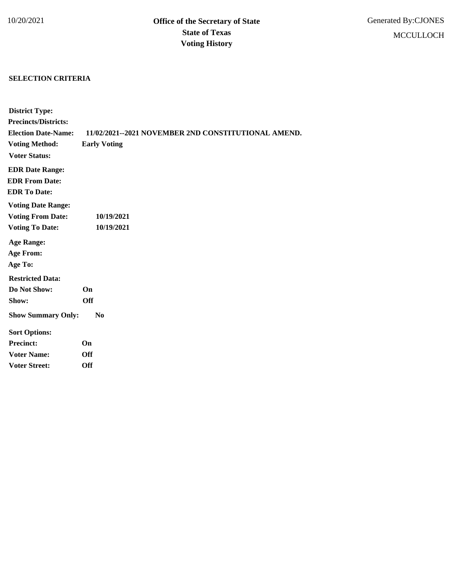## **SELECTION CRITERIA**

| <b>District Type:</b>       |                                                     |
|-----------------------------|-----------------------------------------------------|
| <b>Precincts/Districts:</b> |                                                     |
| <b>Election Date-Name:</b>  | 11/02/2021--2021 NOVEMBER 2ND CONSTITUTIONAL AMEND. |
| <b>Voting Method:</b>       | <b>Early Voting</b>                                 |
| <b>Voter Status:</b>        |                                                     |
| <b>EDR Date Range:</b>      |                                                     |
| <b>EDR From Date:</b>       |                                                     |
| <b>EDR</b> To Date:         |                                                     |
| <b>Voting Date Range:</b>   |                                                     |
| <b>Voting From Date:</b>    | 10/19/2021                                          |
| <b>Voting To Date:</b>      | 10/19/2021                                          |
| <b>Age Range:</b>           |                                                     |
| <b>Age From:</b>            |                                                     |
| Age To:                     |                                                     |
| <b>Restricted Data:</b>     |                                                     |
| Do Not Show:                | <b>On</b>                                           |
| Show:                       | <b>Off</b>                                          |
| <b>Show Summary Only:</b>   | $\bf No$                                            |
| <b>Sort Options:</b>        |                                                     |
| <b>Precinct:</b>            | On                                                  |
| <b>Voter Name:</b>          | <b>Off</b>                                          |
| <b>Voter Street:</b>        | Off                                                 |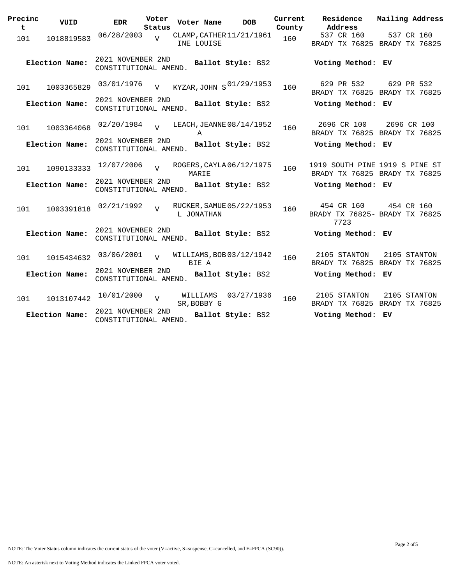| Precinc<br>t | VUID           | <b>EDR</b>                                 | Voter<br>Status | Voter Name  |          | <b>DOB</b>               | Current<br>County | Residence<br>Address                                            | Mailing Address |
|--------------|----------------|--------------------------------------------|-----------------|-------------|----------|--------------------------|-------------------|-----------------------------------------------------------------|-----------------|
| 101          | 1018819583     | 06/28/2003                                 | V               | INE LOUISE  |          | CLAMP, CATHER 11/21/1961 | 160               | 537 CR 160<br>BRADY TX 76825 BRADY TX 76825                     | 537 CR 160      |
|              | Election Name: | 2021 NOVEMBER 2ND<br>CONSTITUTIONAL AMEND. |                 |             |          | Ballot Style: BS2        |                   | Voting Method: EV                                               |                 |
| 101          | 1003365829     | 03/01/1976                                 | $\overline{v}$  |             |          | KYZAR, JOHN S 01/29/1953 | 160               | 629 PR 532<br>BRADY TX 76825 BRADY TX 76825                     | 629 PR 532      |
|              | Election Name: | 2021 NOVEMBER 2ND<br>CONSTITUTIONAL AMEND. |                 |             |          | Ballot Style: BS2        |                   | Voting Method: EV                                               |                 |
| 101          | 1003364068     | 02/20/1984                                 | $\bar{x}$       | A           |          | LEACH, JEANNE 08/14/1952 | 160               | 2696 CR 100<br>BRADY TX 76825 BRADY TX 76825                    | 2696 CR 100     |
|              | Election Name: | 2021 NOVEMBER 2ND<br>CONSTITUTIONAL AMEND. |                 |             |          | Ballot Style: BS2        |                   | Voting Method: EV                                               |                 |
| 101          | 1090133333     | 12/07/2006                                 | $\overline{17}$ | MARIE       |          | ROGERS, CAYLA 06/12/1975 | 160               | 1919 SOUTH PINE 1919 S PINE ST<br>BRADY TX 76825 BRADY TX 76825 |                 |
|              | Election Name: | 2021 NOVEMBER 2ND<br>CONSTITUTIONAL AMEND. |                 |             |          | Ballot Style: BS2        |                   | Voting Method: EV                                               |                 |
| 101          | 1003391818     | 02/21/1992                                 |                 | L JONATHAN  |          | RUCKER, SAMUE 05/22/1953 | 160               | 454 CR 160 454 CR 160<br>BRADY TX 76825- BRADY TX 76825<br>7723 |                 |
|              | Election Name: | 2021 NOVEMBER 2ND<br>CONSTITUTIONAL AMEND. |                 |             |          | Ballot Style: BS2        |                   | Voting Method: EV                                               |                 |
| 101          | 1015434632     | 03/06/2001                                 | $\overline{17}$ | BIE A       |          | WILLIAMS, BOB 03/12/1942 | 160               | 2105 STANTON<br>BRADY TX 76825 BRADY TX 76825                   | 2105 STANTON    |
|              | Election Name: | 2021 NOVEMBER 2ND<br>CONSTITUTIONAL AMEND. |                 |             |          | Ballot Style: BS2        |                   | Voting Method: EV                                               |                 |
| 101          | 1013107442     | 10/01/2000                                 | $\overline{U}$  | SR, BOBBY G | WILLIAMS | 03/27/1936               | 160               | 2105 STANTON<br>BRADY TX 76825 BRADY TX 76825                   | 2105 STANTON    |
|              | Election Name: | 2021 NOVEMBER 2ND<br>CONSTITUTIONAL AMEND. |                 |             |          | Ballot Style: BS2        |                   | Voting Method: EV                                               |                 |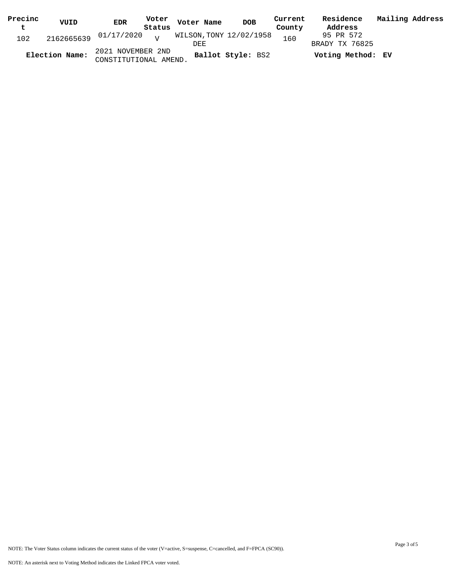| Precinc<br>t | VUID           | <b>EDR</b>                                 | Status | Voter Voter Name              | <b>DOB</b>        | Current<br>County | Residence<br>Address        | Mailing Address |
|--------------|----------------|--------------------------------------------|--------|-------------------------------|-------------------|-------------------|-----------------------------|-----------------|
| 102          |                | $2162665639$ $01/17/2020$ $V$              |        | WILSON,TONY 12/02/1958<br>DEE |                   | 160               | 95 PR 572<br>BRADY TX 76825 |                 |
|              | Election Name: | 2021 NOVEMBER 2ND<br>CONSTITUTIONAL AMEND. |        |                               | Ballot Style: BS2 |                   | Voting Method: EV           |                 |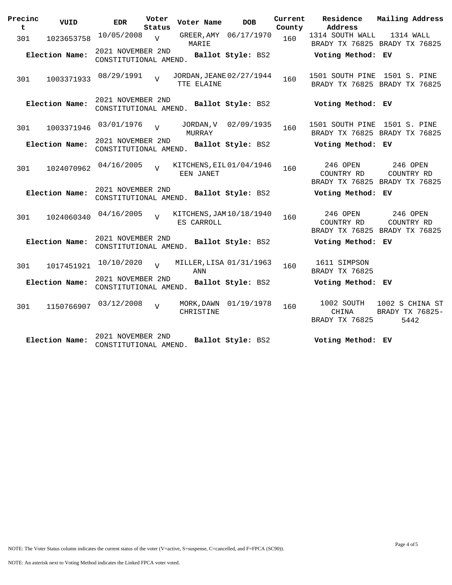| Precinc<br>t | VUID           | <b>EDR</b>                                 | Voter<br>Status | Voter Name                             | <b>DOB</b>            | Current<br>County | Residence<br>Address                  | Mailing Address                                         |
|--------------|----------------|--------------------------------------------|-----------------|----------------------------------------|-----------------------|-------------------|---------------------------------------|---------------------------------------------------------|
| 301          | 1023653758     | 10/05/2008                                 | $\overline{U}$  | MARIE                                  | GREER, AMY 06/17/1970 | 160               | 1314 SOUTH WALL                       | 1314 WALL<br>BRADY TX 76825 BRADY TX 76825              |
|              | Election Name: | 2021 NOVEMBER 2ND<br>CONSTITUTIONAL AMEND. |                 |                                        | Ballot Style: BS2     |                   | Voting Method: EV                     |                                                         |
| 301          | 1003371933     | 08/29/1991                                 | $\overline{z}$  | JORDAN, JEANE 02/27/1944<br>TTE ELAINE |                       | 160               | 1501 SOUTH PINE 1501 S. PINE          | BRADY TX 76825 BRADY TX 76825                           |
|              | Election Name: | 2021 NOVEMBER 2ND<br>CONSTITUTIONAL AMEND. |                 |                                        | Ballot Style: BS2     |                   | Voting Method: EV                     |                                                         |
| 301          | 1003371946     | 03/01/1976                                 | $\overline{z}$  | JORDAN, V<br>MURRAY                    | 02/09/1935            | 160               | 1501 SOUTH PINE 1501 S. PINE          | BRADY TX 76825 BRADY TX 76825                           |
|              | Election Name: | 2021 NOVEMBER 2ND<br>CONSTITUTIONAL AMEND. |                 |                                        | Ballot Style: BS2     |                   | Voting Method: EV                     |                                                         |
| 301          | 1024070962     | 04/16/2005                                 | $\overline{U}$  | KITCHENS, EIL01/04/1946<br>EEN JANET   |                       | 160               | 246 OPEN<br>COUNTRY RD                | 246 OPEN<br>COUNTRY RD<br>BRADY TX 76825 BRADY TX 76825 |
|              | Election Name: | 2021 NOVEMBER 2ND<br>CONSTITUTIONAL AMEND. |                 |                                        | Ballot Style: BS2     |                   | Voting Method: EV                     |                                                         |
| 301          | 1024060340     | 04/16/2005                                 | $\overline{17}$ | KITCHENS, JAM 10/18/1940<br>ES CARROLL |                       | 160               | 246 OPEN<br>COUNTRY RD                | 246 OPEN<br>COUNTRY RD<br>BRADY TX 76825 BRADY TX 76825 |
|              | Election Name: | 2021 NOVEMBER 2ND<br>CONSTITUTIONAL AMEND. |                 |                                        | Ballot Style: BS2     |                   | Voting Method: EV                     |                                                         |
| 301          | 1017451921     | 10/10/2020                                 | $\overline{z}$  | MILLER, LISA 01/31/1963<br>ANN         |                       | 160               | 1611 SIMPSON<br>BRADY TX 76825        |                                                         |
|              | Election Name: | 2021 NOVEMBER 2ND<br>CONSTITUTIONAL AMEND. |                 |                                        | Ballot Style: BS2     |                   | Voting Method: EV                     |                                                         |
| 301          | 1150766907     | 03/12/2008                                 | $\overline{V}$  | MORK, DAWN<br>CHRISTINE                | 01/19/1978            | 160               | 1002 SOUTH<br>CHINA<br>BRADY TX 76825 | 1002 S CHINA ST<br>BRADY TX 76825-<br>5442              |
|              | Election Name: | 2021 NOVEMBER 2ND<br>CONSTITUTIONAL AMEND. |                 |                                        | Ballot Style: BS2     |                   | Voting Method: EV                     |                                                         |